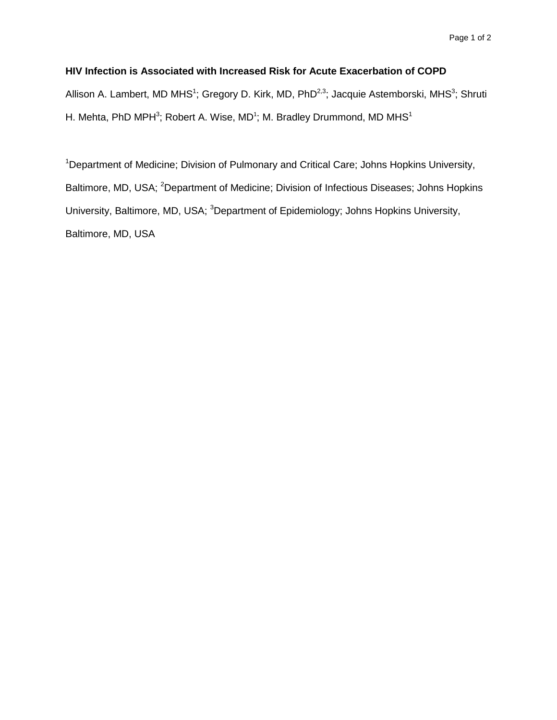## **HIV Infection is Associated with Increased Risk for Acute Exacerbation of COPD**

Allison A. Lambert, MD MHS<sup>1</sup>; Gregory D. Kirk, MD, PhD<sup>2,3</sup>; Jacquie Astemborski, MHS<sup>3</sup>; Shruti H. Mehta, PhD MPH<sup>3</sup>; Robert A. Wise, MD<sup>1</sup>; M. Bradley Drummond, MD MHS<sup>1</sup>

<sup>1</sup>Department of Medicine; Division of Pulmonary and Critical Care; Johns Hopkins University, Baltimore, MD, USA; <sup>2</sup>Department of Medicine; Division of Infectious Diseases; Johns Hopkins University, Baltimore, MD, USA; <sup>3</sup>Department of Epidemiology; Johns Hopkins University, Baltimore, MD, USA